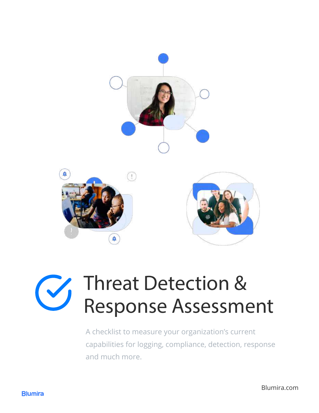



### Threat Detection &  $\begin{pmatrix} 5 \\ 1 \end{pmatrix}$ Response Assessment

A checklist to measure your organization's current capabilities for logging, compliance, detection, response and much more.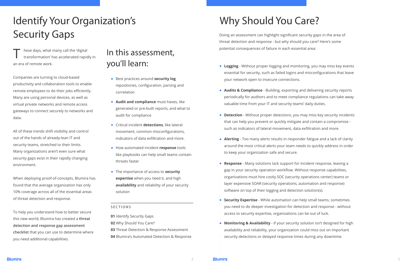# Identify Your Organization's Security Gaps

# Why Should You Care?

## In this assessment, you'll learn:

#### SECTIONS

T hese days, what many call the 'digital<br>transformation' has accelerated rapidly in an era of remote work.

Companies are turning to cloud-based productivity and collaboration tools to enable remote employees to do their jobs efficiently. Many are using personal devices, as well as virtual private networks and remote access gateways to connect securely to networks and data.

All of these trends shift visibility and control out of the hands of already-lean IT and security teams, stretched to their limits. Many organizations aren't even sure what security gaps exist in their rapidly changing environment.

When deploying proof-of-concepts, Blumira has found that the average organization has only 10% coverage across all of the essential areas of threat detection and response.

- **Best practices around security log** repositories, configuration, parsing and correlation
- **Audit and compliance** must-haves, like generated or pre-built reports, and what to audit for compliance
- Critical incident **detections**, like lateral movement, common misconfigurations, indicators of data exfiltration and more.
- How automated incident **response** tools like playbooks can help small teams contain
- threats faster
- The importance of access to **security expertise** when you need it, and high **availability** and reliability of your security solution

To help you understand how to better secure this new world, Blumira has created a **threat detection and response gap assessment checklist** that you can use to determine where you need additional capabilities.

Doing an assessment can highlight significant security gaps in the area of threat detection and response - but why should you care? Here's some potential consequences of failure in each essential area:

**01** Identify Security Gaps

- **02** Why Should You Care?
- **03** Threat Detection & Response Assessment
- **04** Blumira's Automated Detection & Response

2 3

- **Logging** Without proper logging and monitoring, you may miss key events essential for security, such as failed logins and misconfigurations that leave your network open to insecure connections.
- **Audits & Compliance** Building, exporting and delivering security reports periodically for auditors and to meet compliance regulations can take away valuable time from your IT and security teams' daily duties.
- **Detection** Without proper detections, you may miss key security incidents that can help you prevent or quickly mitigate and contain a compromise such as indicators of lateral movement, data exfiltration and more.
- **Alerting** Too many alerts results in responder fatigue and a lack of clarity around the most critical alerts your team needs to quickly address in order to keep your organization safe and secure.
- **Response** Many solutions lack support for incident response, leaving a gap in your security operation workflow. Without response capabilities, organizations must hire costly SOC (security operations center) teams or layer expensive SOAR (security operations, automation and response) software on top of their logging and detection solution(s).
- **Security Expertise** While automation can help small teams, sometimes you need to do deeper investigation for detection and response - without access to security expertise, organizations can be out of luck.
- **Monitoring & Availability** If your security solution isn't designed for high availability and reliability, your organization could miss out on important security detections or delayed response times during any downtime.

**Blumira**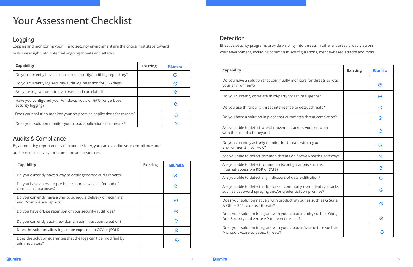# Your Assessment Checklist

### Logging

| <b>Capability</b>                                                              | <b>Existing</b> | <b>Blumira</b>    |
|--------------------------------------------------------------------------------|-----------------|-------------------|
| Do you currently have a centralized security/audit log repository?             |                 | ↺                 |
| Do you currently log security/audit log retention for 365 days?                |                 | $\varnothing$     |
| Are your logs automatically parsed and correlated?                             |                 | $\mathcal{C}_{I}$ |
| Have you configured your Windows hosts or GPO for verbose<br>security logging? |                 | $\emph{C}$        |
| Does your solution monitor your on-premise applications for threats?           |                 | $\mathcal{C}$     |
| Does your solution monitor your cloud applications for threats?                |                 | (✓                |

### Audits & Compliance

| <b>Capability</b>                                                                          | <b>Existing</b> | <b>IBlumira</b> |
|--------------------------------------------------------------------------------------------|-----------------|-----------------|
| Do you currently have a way to easily generate audit reports?                              |                 | $\emph{C}$      |
| Do you have access to pre-built reports available for audit /<br>compliance purposes?      |                 | $\varnothing$   |
| Do you currently have a way to schedule delivery of recurring<br>audit/compliance reports? |                 | $\emph{C}$      |
| Do you have offsite retention of your security/audit logs?                                 |                 | $\emph{C}$      |
| Do you currently audit new domain admin account creation?                                  |                 | $\mathcal G$    |
| Does the solution allow logs to be exported in CSV or JSON?                                |                 | $\emph{C}$      |
| Does the solution guarantee that the logs can't be modified by<br>administrators?          |                 | $\sigma$        |

### Detection

| <b>Capability</b>                                                                                                              | <b>Existing</b> | <b>Blumira</b> |
|--------------------------------------------------------------------------------------------------------------------------------|-----------------|----------------|
| Do you have a solution that continually monitors for threats across<br>your environment?                                       |                 | $\varnothing$  |
| Do you currently correlate third-party threat intelligence?                                                                    |                 | $\emph{C}$     |
| Do you use third-party threat intelligence to detect threats?                                                                  |                 | $\mathcal G$   |
| Do you have a solution in place that automates threat correlation?                                                             |                 | $\varnothing$  |
| Are you able to detect lateral movement across your network<br>with the use of a honeypot?                                     |                 | $\emph{C}$     |
| Do you currently actively monitor for threats within your<br>environment? If so, How?                                          |                 | $\mathcal G$   |
| Are you able to detect common threats on firewall/border gateways?                                                             |                 | $\mathcal G$   |
| Are you able to detect common misconfigurations such as<br>internet-accessible RDP or SMB?                                     |                 | $\varnothing$  |
| Are you able to detect any indicators of data exfiltration?                                                                    |                 | $\mathcal G$   |
| Are you able to detect indicators of commonly used identity attacks<br>such as password spraying and/or credential compromise? |                 | $\varnothing$  |
| Does your solution natively with productivity suites such as G Suite<br>& Office 365 to detect threats?                        |                 | $\emph{C}$     |
| Does your solution integrate with your cloud identity such as Okta,<br>Duo Security and Azure AD to detect threats?            |                 | $\mathcal{C}$  |
| Does your solution integrate with your cloud infrastructure such as<br>Microsoft Azure to detect threats?                      |                 | $(\checkmark)$ |



Logging and monitoring your IT and security environment are the critical first steps toward real-time insight into potential ongoing threats and attacks.

By automating report generation and delivery, you can expedite your compliance and audit needs to save your team time and resources.

Effective security programs provide visibility into threats in different areas broadly across your environment, including common misconfigurations, identity-based attacks and more.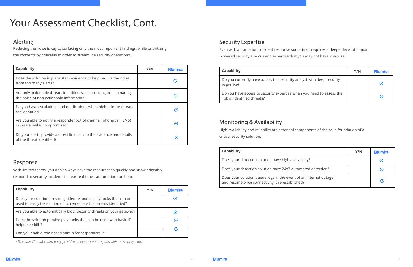# Your Assessment Checklist, Cont.

### Alerting

### Response

Do you currently have access to a security analy expertise?

Do you have access to security expertise when y risk of identified threats?

Does your solution queue logs in the event of ar and resume once connectivity is re-established?



*\*To enable IT and/or third party providers to interact and respond with the security team*

### Security Expertise

#### **Capability**

### Monitoring & Availability

#### **Capability**

Does your detection solution have high availabi

Does your detection solution have 24x7 automated

| <b>Capability</b>                                                                                                | Y/N | <b>Blumira</b> |
|------------------------------------------------------------------------------------------------------------------|-----|----------------|
| Does the solution in place stack evidence to help reduce the noise<br>from too many alerts?                      |     | ⊘              |
| Are only actionable threats identified while reducing or eliminating<br>the noise of non-actionable information? |     | $\mathcal{C}$  |
| Do you have escalations and notifications when high priority threats<br>are identified?                          |     | (✓,            |
| Are you able to notify a responder out of channel (phone call, SMS)<br>in case email is compromised?             |     | $(\checkmark)$ |
| Do your alerts provide a direct link back to the evidence and details<br>of the threat identified?               |     | $\sigma$       |

| <b>Capability</b>                                                                                                                      | Y/N | <b>Blumira</b> |
|----------------------------------------------------------------------------------------------------------------------------------------|-----|----------------|
| Does your solution provide guided response playbooks that can be<br>used to easily take action on to remediate the threats identified? |     | (✓             |
| Are you able to automatically block security threats on your gateway?                                                                  |     | $(\checkmark)$ |
| Does the solution provide playbooks that can be used with basic IT<br>helpdesk skills?                                                 |     | $\emph{C}$     |
| Can you enable role-based admin for responders?*                                                                                       |     |                |

Reducing the noise is key to surfacing only the most important findings, while prioritizing the incidents by criticality in order to streamline security operations.

With limited teams, you don't always have the resources to quickly and knowledgeably

respond to security incidents in near real-time - automation can help.

Even with automation, incident response sometimes requires a deeper level of humanpowered security analysis and expertise that you may not have in-house.

High availability and reliability are essential components of the solid foundation of a critical security solution.

|                        | Y/N | <b>Blumira</b> |
|------------------------|-----|----------------|
| st with deep security  |     | $\,G\,$        |
| you need to assess the |     | Μ              |

|                   | Y/N | <b>Blumira</b> |
|-------------------|-----|----------------|
| lity?             |     | $\sigma$       |
| ated detection?   |     | $\heartsuit$   |
| n internet outage |     | $\emph{C}$     |